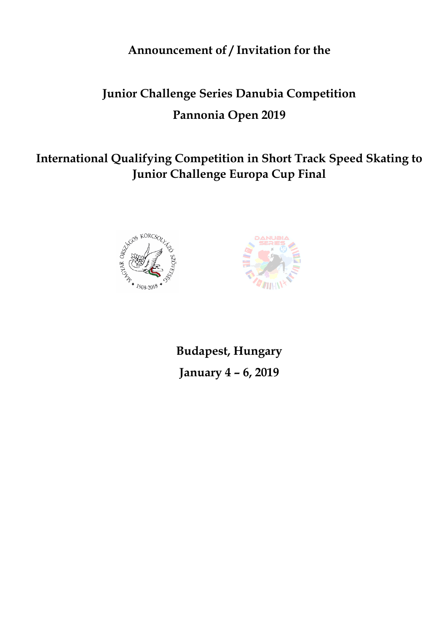**Announcement of / Invitation for the**

# **Junior Challenge Series Danubia Competition Pannonia Open 2019**

**International Qualifying Competition in Short Track Speed Skating to Junior Challenge Europa Cup Final**





**Budapest, Hungary January 4 – 6, 2019**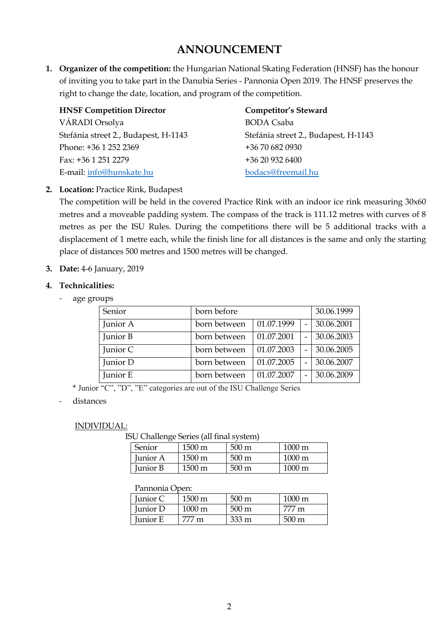# **ANNOUNCEMENT**

**1. Organizer of the competition:** the Hungarian National Skating Federation (HNSF) has the honour of inviting you to take part in the Danubia Series - Pannonia Open 2019. The HNSF preserves the right to change the date, location, and program of the competition.

| <b>HNSF Competition Director</b>     | <b>Competitor's Steward</b>          |
|--------------------------------------|--------------------------------------|
| VÁRADI Orsolya                       | <b>BODA</b> Csaba                    |
| Stefánia street 2., Budapest, H-1143 | Stefánia street 2., Budapest, H-1143 |
| Phone: +36 1 252 2369                | +36 70 682 0930                      |
| Fax: +36 1 251 2279                  | +36 20 932 6400                      |
| E-mail: info@hunskate.hu             | bodacs@freemail.hu                   |

#### **2. Location:** Practice Rink, Budapest

The competition will be held in the covered Practice Rink with an indoor ice rink measuring 30x60 metres and a moveable padding system. The compass of the track is 111.12 metres with curves of 8 metres as per the ISU Rules. During the competitions there will be 5 additional tracks with a displacement of 1 metre each, while the finish line for all distances is the same and only the starting place of distances 500 metres and 1500 metres will be changed.

#### **3. Date:** 4-6 January, 2019

#### **4. Technicalities:**

- age groups

| Senior   | born before  |            | 30.06.1999 |            |
|----------|--------------|------------|------------|------------|
| Junior A | born between | 01.07.1999 |            | 30.06.2001 |
| Junior B | born between | 01.07.2001 |            | 30.06.2003 |
| Junior C | born between | 01.07.2003 |            | 30.06.2005 |
| Junior D | born between | 01.07.2005 |            | 30.06.2007 |
| Junior E | born between | 01.07.2007 |            | 30.06.2009 |

\* Junior "C", "D", "E" categories are out of the ISU Challenge Series

#### distances

#### INDIVIDUAL:

ISU Challenge Series (all final system)

| Senior   | $1500 \text{ m}$    | $500 \text{ m}$ | $1000 \text{ m}$ |
|----------|---------------------|-----------------|------------------|
| Junior A | $1500 \,\mathrm{m}$ | $500 \text{ m}$ | $1000 \text{ m}$ |
| Junior B | $1500 \,\mathrm{m}$ | 500 m           | $1000 \text{ m}$ |

#### Pannonia Open:

| Junior C        | $1500 \,\mathrm{m}$ | $500 \,\mathrm{m}$ | $1000 \text{ m}$ |
|-----------------|---------------------|--------------------|------------------|
| <b>Iunior</b> D | $1000 \text{ m}$    | $500 \text{ m}$    | 777 m            |
| Junior E        | 777 m               | $333 \,\mathrm{m}$ | $500 \text{ m}$  |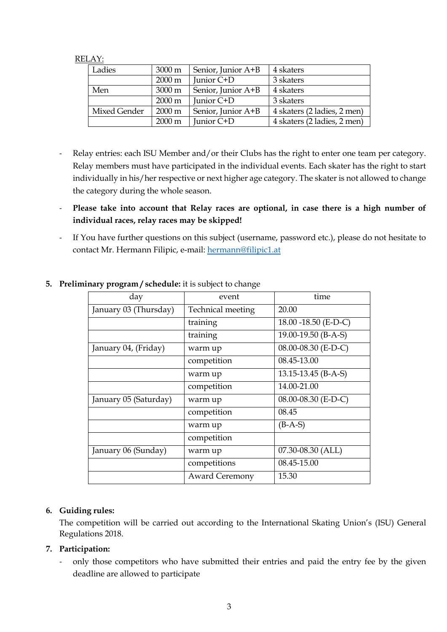#### RELAY:

| Ladies       | $3000 \text{ m}$ | Senior, Junior A+B | 4 skaters                   |
|--------------|------------------|--------------------|-----------------------------|
|              | $2000 \text{ m}$ | Junior C+D         | 3 skaters                   |
| Men          | 3000 m           | Senior, Junior A+B | 4 skaters                   |
|              | $2000 \text{ m}$ | Junior C+D         | 3 skaters                   |
| Mixed Gender | $2000 \text{ m}$ | Senior, Junior A+B | 4 skaters (2 ladies, 2 men) |
|              | 2000 m           | Junior C+D         | 4 skaters (2 ladies, 2 men) |

- Relay entries: each ISU Member and/or their Clubs has the right to enter one team per category. Relay members must have participated in the individual events. Each skater has the right to start individually in his/her respective or next higher age category. The skater is not allowed to change the category during the whole season.
- **Please take into account that Relay races are optional, in case there is a high number of individual races, relay races may be skipped!**
- If You have further questions on this subject (username, password etc.), please do not hesitate to contact Mr. Hermann Filipic, e-mail: hermann@filipic1.at

| day                   | event                 | time                 |
|-----------------------|-----------------------|----------------------|
| January 03 (Thursday) | Technical meeting     | 20.00                |
|                       | training              | 18.00 -18.50 (E-D-C) |
|                       | training              | 19.00-19.50 (B-A-S)  |
| January 04, (Friday)  | warm up               | 08.00-08.30 (E-D-C)  |
|                       | competition           | 08.45-13.00          |
|                       | warm up               | 13.15-13.45 (B-A-S)  |
|                       | competition           | 14.00-21.00          |
| January 05 (Saturday) | warm up               | 08.00-08.30 (E-D-C)  |
|                       | competition           | 08.45                |
|                       | warm up               | $(B-A-S)$            |
|                       | competition           |                      |
| January 06 (Sunday)   | warm up               | 07.30-08.30 (ALL)    |
|                       | competitions          | 08.45-15.00          |
|                       | <b>Award Ceremony</b> | 15.30                |

# **5. Preliminary program / schedule:** it is subject to change

## **6. Guiding rules:**

The competition will be carried out according to the International Skating Union's (ISU) General Regulations 2018.

# **7. Participation:**

- only those competitors who have submitted their entries and paid the entry fee by the given deadline are allowed to participate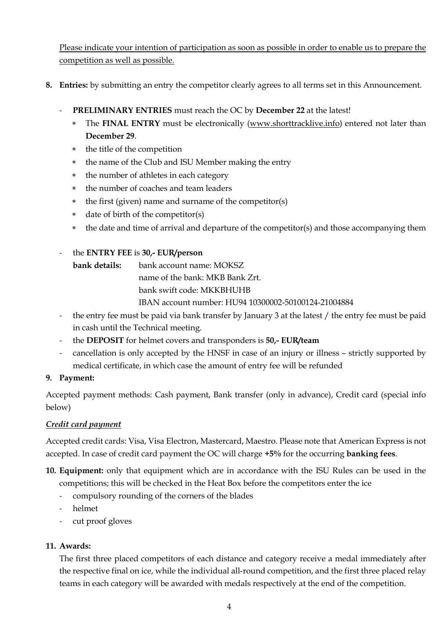Please indicate your intention of participation as soon as possible in order to enable us to prepare the competition as well as possible.

- **8. Entries:** by submitting an entry the competitor clearly agrees to all terms set in this Announcement.
	- **PRELIMINARY ENTRIES** must reach the OC by **December 22** at the latest!
		- \* The **FINAL ENTRY** must be electronically (www.shorttracklive.info) entered not later than **December 29**.
		- \* the title of the competition
		- \* the name of the Club and ISU Member making the entry
		- \* the number of athletes in each category
		- \* the number of coaches and team leaders
		- \* the first (given) name and surname of the competitor(s)
		- \* date of birth of the competitor(s)
		- \* the date and time of arrival and departure of the competitor(s) and those accompanying them

## - the **ENTRY FEE** is **30,- EUR/person**

**bank details:** bank account name: MOKSZ name of the bank: MKB Bank Zrt. bank swift code: MKKBHUHB IBAN account number: HU94 10300002-50100124-21004884

- the entry fee must be paid via bank transfer by January 3 at the latest / the entry fee must be paid in cash until the Technical meeting.
- the **DEPOSIT** for helmet covers and transponders is **50,- EUR/team**
- cancellation is only accepted by the HNSF in case of an injury or illness strictly supported by medical certificate, in which case the amount of entry fee will be refunded

## **9. Payment:**

Accepted payment methods: Cash payment, Bank transfer (only in advance), Credit card (special info below)

## *Credit card payment*

Accepted credit cards: Visa, Visa Electron, Mastercard, Maestro. Please note that American Express is not accepted. In case of credit card payment the OC will charge **+5%** for the occurring **banking fees**.

- **10. Equipment:** only that equipment which are in accordance with the ISU Rules can be used in the competitions; this will be checked in the Heat Box before the competitors enter the ice
	- compulsory rounding of the corners of the blades
	- helmet
	- cut proof gloves

## **11. Awards:**

The first three placed competitors of each distance and category receive a medal immediately after the respective final on ice, while the individual all-round competition, and the first three placed relay teams in each category will be awarded with medals respectively at the end of the competition.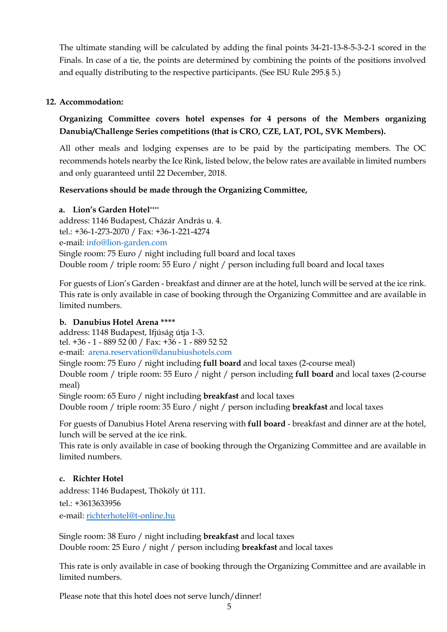The ultimate standing will be calculated by adding the final points 34-21-13-8-5-3-2-1 scored in the Finals. In case of a tie, the points are determined by combining the points of the positions involved and equally distributing to the respective participants. (See ISU Rule 295.§ 5.)

## **12. Accommodation:**

# **Organizing Committee covers hotel expenses for 4 persons of the Members organizing Danubia/Challenge Series competitions (that is CRO, CZE, LAT, POL, SVK Members).**

All other meals and lodging expenses are to be paid by the participating members. The OC recommends hotels nearby the Ice Rink, listed below, the below rates are available in limited numbers and only guaranteed until 22 December, 2018.

## **Reservations should be made through the Organizing Committee,**

#### **a. Lion's Garden Hotel\*\*\*\***

address: 1146 Budapest, Cházár András u. 4. tel.: +36-1-273-2070 / Fax: +36-1-221-4274 e-mail: info@lion-garden.com Single room: 75 Euro / night including full board and local taxes Double room / triple room: 55 Euro / night / person including full board and local taxes

For guests of Lion's Garden - breakfast and dinner are at the hotel, lunch will be served at the ice rink. This rate is only available in case of booking through the Organizing Committee and are available in limited numbers.

## **b. Danubius Hotel Arena \*\*\*\***

address: 1148 Budapest, Ifjúság útja 1-3. tel. +36 - 1 - 889 52 00 / Fax: +36 - 1 - 889 52 52 e-mail: arena.reservation@danubiushotels.com

Single room: 75 Euro / night including **full board** and local taxes (2-course meal)

Double room / triple room: 55 Euro / night / person including **full board** and local taxes (2-course meal)

Single room: 65 Euro / night including **breakfast** and local taxes

Double room / triple room: 35 Euro / night / person including **breakfast** and local taxes

For guests of Danubius Hotel Arena reserving with **full board** - breakfast and dinner are at the hotel, lunch will be served at the ice rink.

This rate is only available in case of booking through the Organizing Committee and are available in limited numbers.

## **c. Richter Hotel**

address: 1146 Budapest, Thököly út 111. tel.: +3613633956 e-mail: richterhotel@t-online.hu

Single room: 38 Euro / night including **breakfast** and local taxes Double room: 25 Euro / night / person including **breakfast** and local taxes

This rate is only available in case of booking through the Organizing Committee and are available in limited numbers.

Please note that this hotel does not serve lunch/dinner!